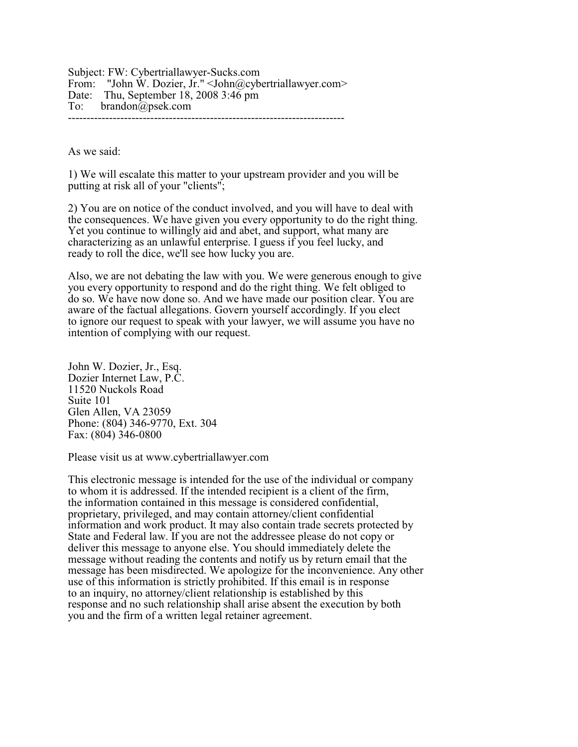Subject: FW: Cybertriallawyer-Sucks.com From: "John W. Dozier, Jr." <John@cybertriallawyer.com> Date: Thu, September 18, 2008 3:46 pm To: brandon@psek.com --------------------------------------------------------------------------

As we said:

1) We will escalate this matter to your upstream provider and you will be putting at risk all of your "clients";

2) You are on notice of the conduct involved, and you will have to deal with the consequences. We have given you every opportunity to do the right thing. Yet you continue to willingly aid and abet, and support, what many are characterizing as an unlawful enterprise. I guess if you feel lucky, and ready to roll the dice, we'll see how lucky you are.

Also, we are not debating the law with you. We were generous enough to give you every opportunity to respond and do the right thing. We felt obliged to do so. We have now done so. And we have made our position clear. You are aware of the factual allegations. Govern yourself accordingly. If you elect to ignore our request to speak with your lawyer, we will assume you have no intention of complying with our request.

John W. Dozier, Jr., Esq. Dozier Internet Law, P.C. 11520 Nuckols Road Suite 101 Glen Allen, VA 23059 Phone: (804) 346-9770, Ext. 304 Fax: (804) 346-0800

Please visit us at www.cybertriallawyer.com

This electronic message is intended for the use of the individual or company to whom it is addressed. If the intended recipient is a client of the firm, the information contained in this message is considered confidential, proprietary, privileged, and may contain attorney/client confidential information and work product. It may also contain trade secrets protected by State and Federal law. If you are not the addressee please do not copy or deliver this message to anyone else. You should immediately delete the message without reading the contents and notify us by return email that the message has been misdirected. We apologize for the inconvenience. Any other use of this information is strictly prohibited. If this email is in response to an inquiry, no attorney/client relationship is established by this response and no such relationship shall arise absent the execution by both you and the firm of a written legal retainer agreement.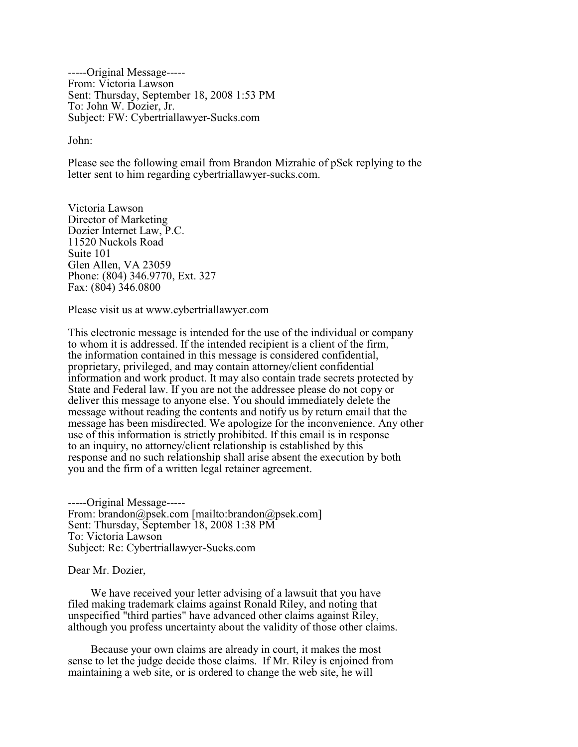-----Original Message----- From: Victoria Lawson Sent: Thursday, September 18, 2008 1:53 PM To: John W. Dozier, Jr. Subject: FW: Cybertriallawyer-Sucks.com

John:

Please see the following email from Brandon Mizrahie of pSek replying to the letter sent to him regarding cybertriallawyer-sucks.com.

Victoria Lawson Director of Marketing Dozier Internet Law, P.C. 11520 Nuckols Road Suite 101 Glen Allen, VA 23059 Phone: (804) 346.9770, Ext. 327 Fax: (804) 346.0800

Please visit us at www.cybertriallawyer.com

This electronic message is intended for the use of the individual or company to whom it is addressed. If the intended recipient is a client of the firm, the information contained in this message is considered confidential, proprietary, privileged, and may contain attorney/client confidential information and work product. It may also contain trade secrets protected by State and Federal law. If you are not the addressee please do not copy or deliver this message to anyone else. You should immediately delete the message without reading the contents and notify us by return email that the message has been misdirected. We apologize for the inconvenience. Any other use of this information is strictly prohibited. If this email is in response to an inquiry, no attorney/client relationship is established by this response and no such relationship shall arise absent the execution by both you and the firm of a written legal retainer agreement.

-----Original Message----- From: brandon@psek.com [mailto:brandon@psek.com] Sent: Thursday, September 18, 2008 1:38 PM To: Victoria Lawson Subject: Re: Cybertriallawyer-Sucks.com

Dear Mr. Dozier,

 We have received your letter advising of a lawsuit that you have filed making trademark claims against Ronald Riley, and noting that unspecified "third parties" have advanced other claims against Riley, although you profess uncertainty about the validity of those other claims.

 Because your own claims are already in court, it makes the most sense to let the judge decide those claims. If Mr. Riley is enjoined from maintaining a web site, or is ordered to change the web site, he will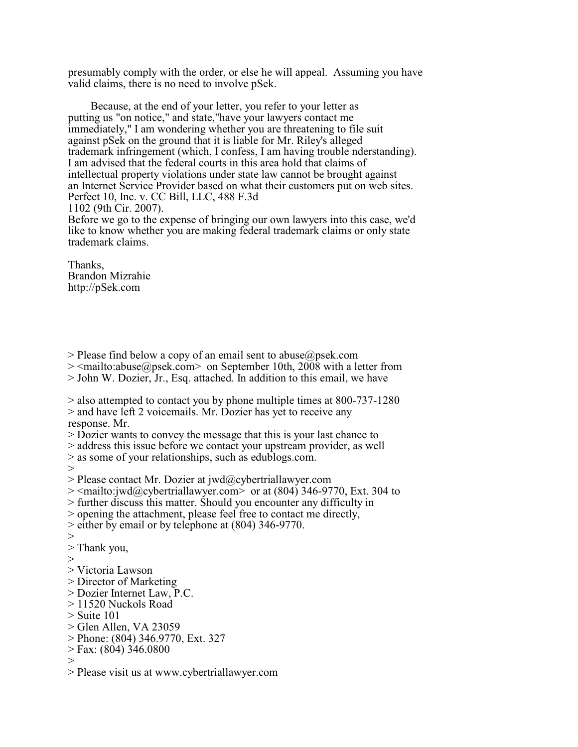presumably comply with the order, or else he will appeal. Assuming you have valid claims, there is no need to involve pSek.

 Because, at the end of your letter, you refer to your letter as putting us "on notice," and state,"have your lawyers contact me immediately," I am wondering whether you are threatening to file suit against pSek on the ground that it is liable for Mr. Riley's alleged trademark infringement (which, I confess, I am having trouble nderstanding). I am advised that the federal courts in this area hold that claims of intellectual property violations under state law cannot be brought against an Internet Service Provider based on what their customers put on web sites. Perfect 10, Inc. v. CC Bill, LLC, 488 F.3d 1102 (9th Cir. 2007). Before we go to the expense of bringing our own lawyers into this case, we'd

like to know whether you are making federal trademark claims or only state trademark claims.

Thanks, Brandon Mizrahie http://pSek.com

 $>$  Please find below a copy of an email sent to abuse  $\omega$  psek.com

> <mailto:abuse@psek.com> on September 10th, 2008 with a letter from

> John W. Dozier, Jr., Esq. attached. In addition to this email, we have

> also attempted to contact you by phone multiple times at 800-737-1280 > and have left 2 voicemails. Mr. Dozier has yet to receive any response. Mr.

> Dozier wants to convey the message that this is your last chance to

> address this issue before we contact your upstream provider, as well

> as some of your relationships, such as edublogs.com.

 $>$ 

 $>$  Please contact Mr. Dozier at jwd@cybertriallawyer.com

> <mailto:jwd@cybertriallawyer.com> or at (804) 346-9770, Ext. 304 to

> further discuss this matter. Should you encounter any difficulty in

> opening the attachment, please feel free to contact me directly,

> either by email or by telephone at (804) 346-9770.

>

> Thank you,

>

- > Victoria Lawson
- > Director of Marketing
- > Dozier Internet Law, P.C.
- > 11520 Nuckols Road
- $>$  Suite 101
- > Glen Allen, VA 23059
- > Phone: (804) 346.9770, Ext. 327
- > Fax: (804) 346.0800
- $>$
- > Please visit us at www.cybertriallawyer.com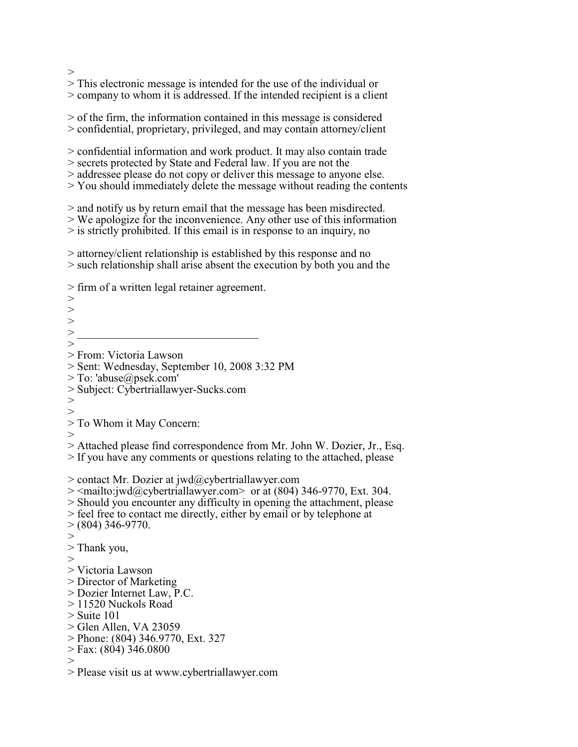$>$ 

> This electronic message is intended for the use of the individual or

> company to whom it is addressed. If the intended recipient is a client

> of the firm, the information contained in this message is considered > confidential, proprietary, privileged, and may contain attorney/client

> confidential information and work product. It may also contain trade

> secrets protected by State and Federal law. If you are not the

> addressee please do not copy or deliver this message to anyone else.

> You should immediately delete the message without reading the contents

> and notify us by return email that the message has been misdirected.

> We apologize for the inconvenience. Any other use of this information

> is strictly prohibited. If this email is in response to an inquiry, no

> attorney/client relationship is established by this response and no > such relationship shall arise absent the execution by both you and the

> firm of a written legal retainer agreement.

 $>$ >  $>$  $>$   $\overline{\phantom{a}}$  ,  $\overline{\phantom{a}}$  ,  $\overline{\phantom{a}}$  ,  $\overline{\phantom{a}}$  ,  $\overline{\phantom{a}}$  ,  $\overline{\phantom{a}}$  ,  $\overline{\phantom{a}}$  ,  $\overline{\phantom{a}}$  ,  $\overline{\phantom{a}}$  ,  $\overline{\phantom{a}}$  ,  $\overline{\phantom{a}}$  ,  $\overline{\phantom{a}}$  ,  $\overline{\phantom{a}}$  ,  $\overline{\phantom{a}}$  ,  $\overline{\phantom{a}}$  ,  $\overline{\phantom$ > > From: Victoria Lawson > Sent: Wednesday, September 10, 2008 3:32 PM > To: 'abuse@psek.com' > Subject: Cybertriallawyer-Sucks.com  $>$ > > To Whom it May Concern: > > Attached please find correspondence from Mr. John W. Dozier, Jr., Esq. > If you have any comments or questions relating to the attached, please > contact Mr. Dozier at jwd@cybertriallawyer.com > <mailto:jwd@cybertriallawyer.com> or at (804) 346-9770, Ext. 304. > Should you encounter any difficulty in opening the attachment, please > feel free to contact me directly, either by email or by telephone at  $> (804)$  346-9770.  $>$ > Thank you, > > Victoria Lawson > Director of Marketing > Dozier Internet Law, P.C. > 11520 Nuckols Road  $>$  Suite 101 > Glen Allen, VA 23059 > Phone: (804) 346.9770, Ext. 327 > Fax: (804) 346.0800  $>$ 

> Please visit us at www.cybertriallawyer.com